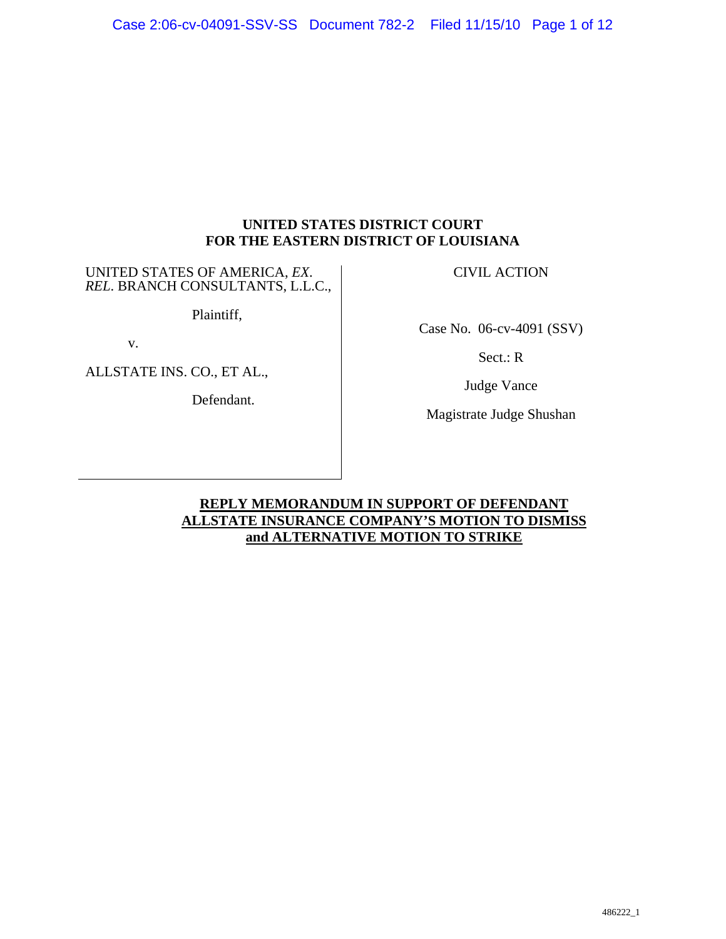## **UNITED STATES DISTRICT COURT FOR THE EASTERN DISTRICT OF LOUISIANA**

UNITED STATES OF AMERICA, *EX*. *REL*. BRANCH CONSULTANTS, L.L.C.,

Plaintiff,

v.

ALLSTATE INS. CO., ET AL.,

Defendant.

CIVIL ACTION

Case No. 06-cv-4091 (SSV)

Sect.: R

Judge Vance

Magistrate Judge Shushan

## **REPLY MEMORANDUM IN SUPPORT OF DEFENDANT ALLSTATE INSURANCE COMPANY'S MOTION TO DISMISS and ALTERNATIVE MOTION TO STRIKE**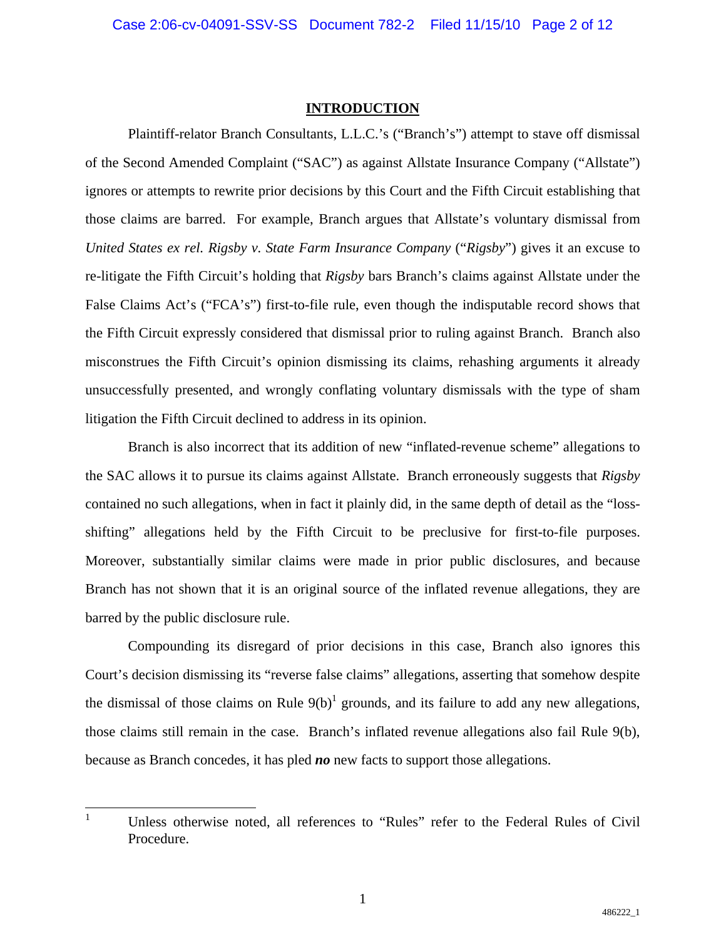#### **INTRODUCTION**

Plaintiff-relator Branch Consultants, L.L.C.'s ("Branch's") attempt to stave off dismissal of the Second Amended Complaint ("SAC") as against Allstate Insurance Company ("Allstate") ignores or attempts to rewrite prior decisions by this Court and the Fifth Circuit establishing that those claims are barred. For example, Branch argues that Allstate's voluntary dismissal from *United States ex rel. Rigsby v. State Farm Insurance Company* ("*Rigsby*") gives it an excuse to re-litigate the Fifth Circuit's holding that *Rigsby* bars Branch's claims against Allstate under the False Claims Act's ("FCA's") first-to-file rule, even though the indisputable record shows that the Fifth Circuit expressly considered that dismissal prior to ruling against Branch. Branch also misconstrues the Fifth Circuit's opinion dismissing its claims, rehashing arguments it already unsuccessfully presented, and wrongly conflating voluntary dismissals with the type of sham litigation the Fifth Circuit declined to address in its opinion.

Branch is also incorrect that its addition of new "inflated-revenue scheme" allegations to the SAC allows it to pursue its claims against Allstate. Branch erroneously suggests that *Rigsby* contained no such allegations, when in fact it plainly did, in the same depth of detail as the "lossshifting" allegations held by the Fifth Circuit to be preclusive for first-to-file purposes. Moreover, substantially similar claims were made in prior public disclosures, and because Branch has not shown that it is an original source of the inflated revenue allegations, they are barred by the public disclosure rule.

Compounding its disregard of prior decisions in this case, Branch also ignores this Court's decision dismissing its "reverse false claims" allegations, asserting that somehow despite the dismissal of those claims on Rule  $9(b)^1$  grounds, and its failure to add any new allegations, those claims still remain in the case. Branch's inflated revenue allegations also fail Rule 9(b), because as Branch concedes, it has pled *no* new facts to support those allegations.

 $\frac{1}{1}$  Unless otherwise noted, all references to "Rules" refer to the Federal Rules of Civil Procedure.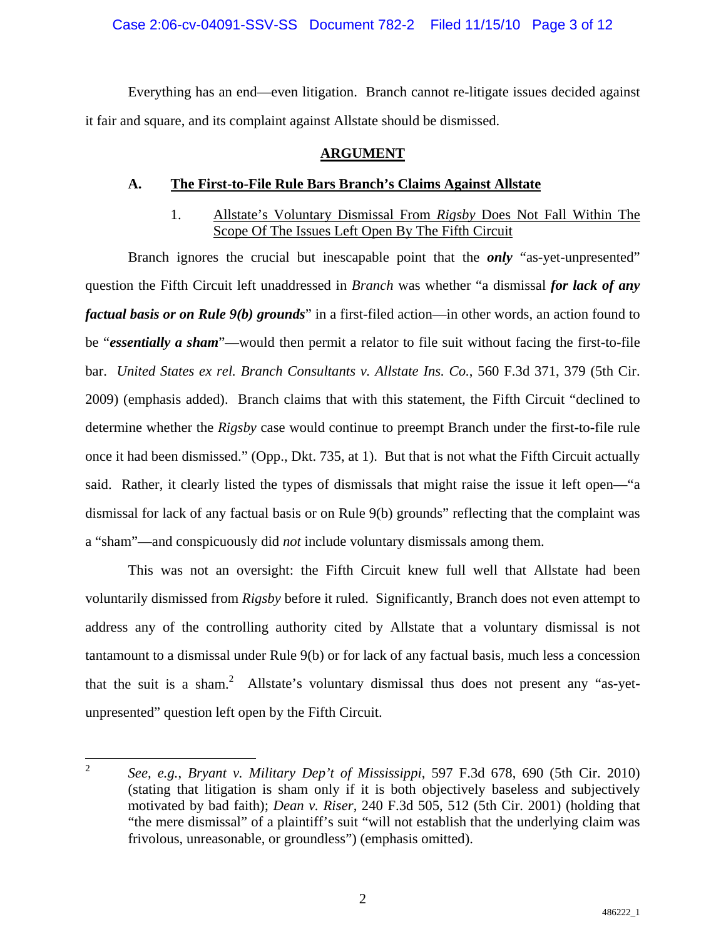## Case 2:06-cv-04091-SSV-SS Document 782-2 Filed 11/15/10 Page 3 of 12

Everything has an end—even litigation. Branch cannot re-litigate issues decided against it fair and square, and its complaint against Allstate should be dismissed.

## **ARGUMENT**

## **A. The First-to-File Rule Bars Branch's Claims Against Allstate**

# 1. Allstate's Voluntary Dismissal From *Rigsby* Does Not Fall Within The Scope Of The Issues Left Open By The Fifth Circuit

Branch ignores the crucial but inescapable point that the *only* "as-yet-unpresented" question the Fifth Circuit left unaddressed in *Branch* was whether "a dismissal *for lack of any factual basis or on Rule 9(b) grounds*" in a first-filed action—in other words, an action found to be "*essentially a sham*"—would then permit a relator to file suit without facing the first-to-file bar. *United States ex rel. Branch Consultants v. Allstate Ins. Co.*, 560 F.3d 371, 379 (5th Cir. 2009) (emphasis added). Branch claims that with this statement, the Fifth Circuit "declined to determine whether the *Rigsby* case would continue to preempt Branch under the first-to-file rule once it had been dismissed." (Opp., Dkt. 735, at 1). But that is not what the Fifth Circuit actually said. Rather, it clearly listed the types of dismissals that might raise the issue it left open—"a dismissal for lack of any factual basis or on Rule 9(b) grounds" reflecting that the complaint was a "sham"—and conspicuously did *not* include voluntary dismissals among them.

This was not an oversight: the Fifth Circuit knew full well that Allstate had been voluntarily dismissed from *Rigsby* before it ruled. Significantly, Branch does not even attempt to address any of the controlling authority cited by Allstate that a voluntary dismissal is not tantamount to a dismissal under Rule 9(b) or for lack of any factual basis, much less a concession that the suit is a sham.<sup>2</sup> Allstate's voluntary dismissal thus does not present any "as-yetunpresented" question left open by the Fifth Circuit.

 $\frac{1}{2}$  *See, e.g.*, *Bryant v. Military Dep't of Mississippi*, 597 F.3d 678, 690 (5th Cir. 2010) (stating that litigation is sham only if it is both objectively baseless and subjectively motivated by bad faith); *Dean v. Riser*, 240 F.3d 505, 512 (5th Cir. 2001) (holding that "the mere dismissal" of a plaintiff's suit "will not establish that the underlying claim was frivolous, unreasonable, or groundless") (emphasis omitted).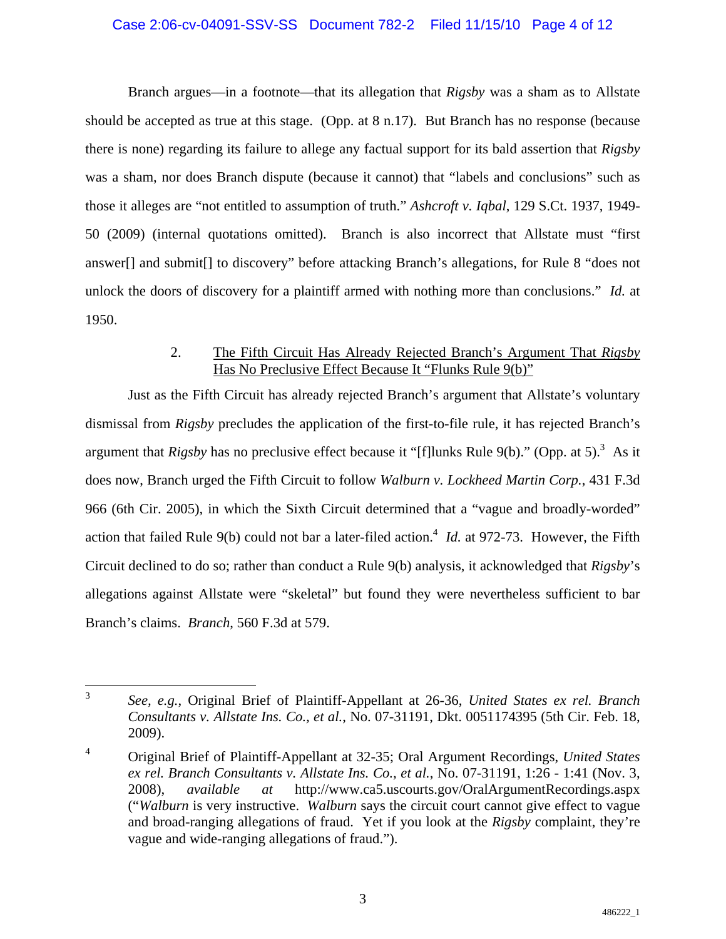### Case 2:06-cv-04091-SSV-SS Document 782-2 Filed 11/15/10 Page 4 of 12

Branch argues—in a footnote—that its allegation that *Rigsby* was a sham as to Allstate should be accepted as true at this stage. (Opp. at 8 n.17). But Branch has no response (because there is none) regarding its failure to allege any factual support for its bald assertion that *Rigsby* was a sham, nor does Branch dispute (because it cannot) that "labels and conclusions" such as those it alleges are "not entitled to assumption of truth." *Ashcroft v. Iqbal*, 129 S.Ct. 1937, 1949- 50 (2009) (internal quotations omitted). Branch is also incorrect that Allstate must "first answer[] and submit[] to discovery" before attacking Branch's allegations, for Rule 8 "does not unlock the doors of discovery for a plaintiff armed with nothing more than conclusions." *Id.* at 1950.

## 2. The Fifth Circuit Has Already Rejected Branch's Argument That *Rigsby*  Has No Preclusive Effect Because It "Flunks Rule 9(b)"

Just as the Fifth Circuit has already rejected Branch's argument that Allstate's voluntary dismissal from *Rigsby* precludes the application of the first-to-file rule, it has rejected Branch's argument that *Rigsby* has no preclusive effect because it "[f]lunks Rule 9(b)." (Opp. at 5).<sup>3</sup> As it does now, Branch urged the Fifth Circuit to follow *Walburn v. Lockheed Martin Corp.*, 431 F.3d 966 (6th Cir. 2005), in which the Sixth Circuit determined that a "vague and broadly-worded" action that failed Rule 9(b) could not bar a later-filed action.<sup>4</sup> *Id.* at 972-73. However, the Fifth Circuit declined to do so; rather than conduct a Rule 9(b) analysis, it acknowledged that *Rigsby*'s allegations against Allstate were "skeletal" but found they were nevertheless sufficient to bar Branch's claims. *Branch*, 560 F.3d at 579.

 $\frac{1}{3}$  *See, e.g.*, Original Brief of Plaintiff-Appellant at 26-36, *United States ex rel. Branch Consultants v. Allstate Ins. Co., et al.*, No. 07-31191, Dkt. 0051174395 (5th Cir. Feb. 18, 2009).

<sup>4</sup> Original Brief of Plaintiff-Appellant at 32-35; Oral Argument Recordings, *United States ex rel. Branch Consultants v. Allstate Ins. Co., et al.*, No. 07-31191, 1:26 - 1:41 (Nov. 3, 2008), *available at* http://www.ca5.uscourts.gov/OralArgumentRecordings.aspx ("*Walburn* is very instructive. *Walburn* says the circuit court cannot give effect to vague and broad-ranging allegations of fraud. Yet if you look at the *Rigsby* complaint, they're vague and wide-ranging allegations of fraud.").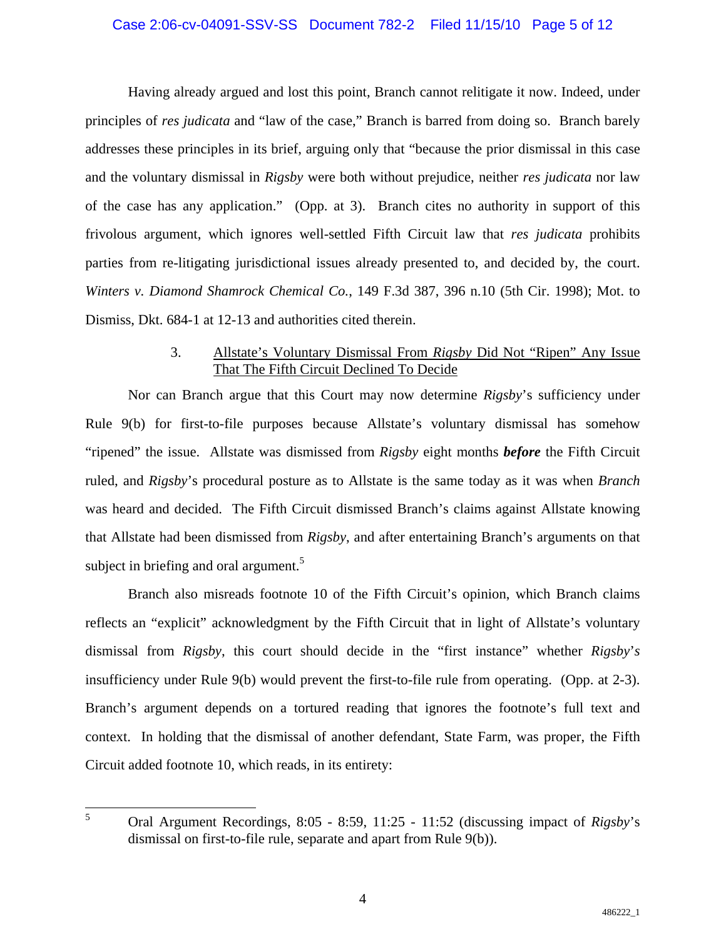#### Case 2:06-cv-04091-SSV-SS Document 782-2 Filed 11/15/10 Page 5 of 12

Having already argued and lost this point, Branch cannot relitigate it now. Indeed, under principles of *res judicata* and "law of the case," Branch is barred from doing so. Branch barely addresses these principles in its brief, arguing only that "because the prior dismissal in this case and the voluntary dismissal in *Rigsby* were both without prejudice, neither *res judicata* nor law of the case has any application." (Opp. at 3). Branch cites no authority in support of this frivolous argument, which ignores well-settled Fifth Circuit law that *res judicata* prohibits parties from re-litigating jurisdictional issues already presented to, and decided by, the court. *Winters v. Diamond Shamrock Chemical Co.*, 149 F.3d 387, 396 n.10 (5th Cir. 1998); Mot. to Dismiss, Dkt. 684-1 at 12-13 and authorities cited therein.

## 3. Allstate's Voluntary Dismissal From *Rigsby* Did Not "Ripen" Any Issue That The Fifth Circuit Declined To Decide

Nor can Branch argue that this Court may now determine *Rigsby*'s sufficiency under Rule 9(b) for first-to-file purposes because Allstate's voluntary dismissal has somehow "ripened" the issue. Allstate was dismissed from *Rigsby* eight months *before* the Fifth Circuit ruled, and *Rigsby*'s procedural posture as to Allstate is the same today as it was when *Branch* was heard and decided. The Fifth Circuit dismissed Branch's claims against Allstate knowing that Allstate had been dismissed from *Rigsby*, and after entertaining Branch's arguments on that subject in briefing and oral argument.<sup>5</sup>

Branch also misreads footnote 10 of the Fifth Circuit's opinion, which Branch claims reflects an "explicit" acknowledgment by the Fifth Circuit that in light of Allstate's voluntary dismissal from *Rigsby*, this court should decide in the "first instance" whether *Rigsby*'*s*  insufficiency under Rule 9(b) would prevent the first-to-file rule from operating. (Opp. at 2-3). Branch's argument depends on a tortured reading that ignores the footnote's full text and context. In holding that the dismissal of another defendant, State Farm, was proper, the Fifth Circuit added footnote 10, which reads, in its entirety:

5

Oral Argument Recordings, 8:05 - 8:59, 11:25 - 11:52 (discussing impact of *Rigsby*'s dismissal on first-to-file rule, separate and apart from Rule 9(b)).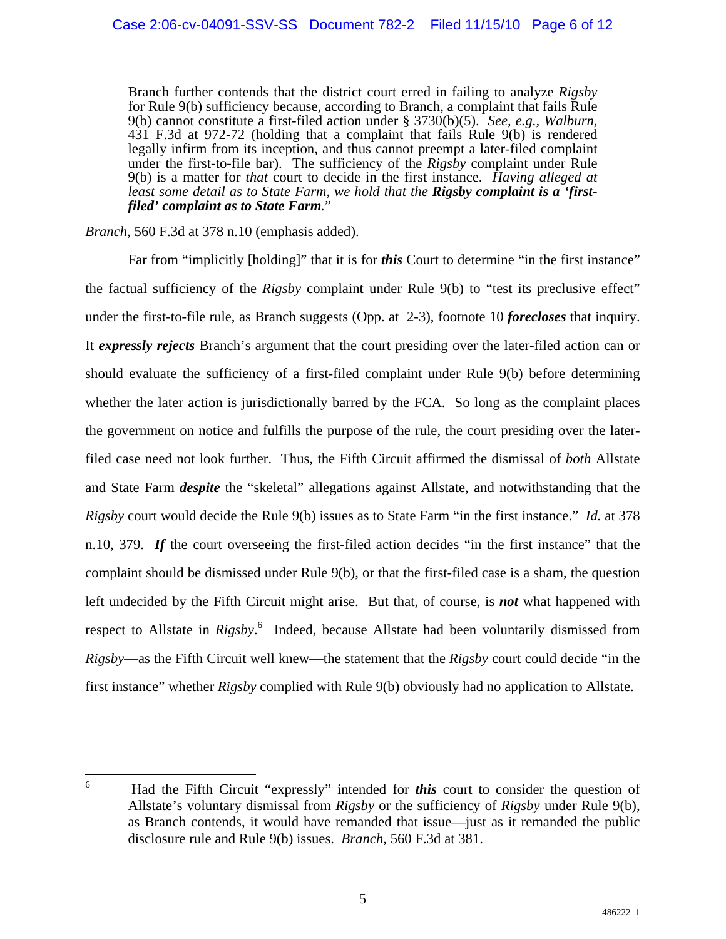Branch further contends that the district court erred in failing to analyze *Rigsby*  for Rule 9(b) sufficiency because, according to Branch, a complaint that fails Rule 9(b) cannot constitute a first-filed action under § 3730(b)(5). *See, e.g., Walburn*, 431 F.3d at 972-72 (holding that a complaint that fails Rule 9(b) is rendered legally infirm from its inception, and thus cannot preempt a later-filed complaint under the first-to-file bar). The sufficiency of the *Rigsby* complaint under Rule 9(b) is a matter for *that* court to decide in the first instance. *Having alleged at*  least some detail as to State Farm, we hold that the Rigsby complaint is a 'first*filed' complaint as to State Farm.*"

*Branch*, 560 F.3d at 378 n.10 (emphasis added).

Far from "implicitly [holding]" that it is for *this* Court to determine "in the first instance" the factual sufficiency of the *Rigsby* complaint under Rule 9(b) to "test its preclusive effect" under the first-to-file rule, as Branch suggests (Opp. at 2-3), footnote 10 *forecloses* that inquiry. It *expressly rejects* Branch's argument that the court presiding over the later-filed action can or should evaluate the sufficiency of a first-filed complaint under Rule 9(b) before determining whether the later action is jurisdictionally barred by the FCA. So long as the complaint places the government on notice and fulfills the purpose of the rule, the court presiding over the laterfiled case need not look further. Thus, the Fifth Circuit affirmed the dismissal of *both* Allstate and State Farm *despite* the "skeletal" allegations against Allstate, and notwithstanding that the *Rigsby* court would decide the Rule 9(b) issues as to State Farm "in the first instance." *Id.* at 378 n.10, 379. *If* the court overseeing the first-filed action decides "in the first instance" that the complaint should be dismissed under Rule 9(b), or that the first-filed case is a sham, the question left undecided by the Fifth Circuit might arise. But that, of course, is *not* what happened with respect to Allstate in *Rigsby*. 6 Indeed, because Allstate had been voluntarily dismissed from *Rigsby*—as the Fifth Circuit well knew—the statement that the *Rigsby* court could decide "in the first instance" whether *Rigsby* complied with Rule 9(b) obviously had no application to Allstate.

 $\overline{a}$ 6 Had the Fifth Circuit "expressly" intended for *this* court to consider the question of Allstate's voluntary dismissal from *Rigsby* or the sufficiency of *Rigsby* under Rule 9(b), as Branch contends, it would have remanded that issue—just as it remanded the public disclosure rule and Rule 9(b) issues. *Branch*, 560 F.3d at 381.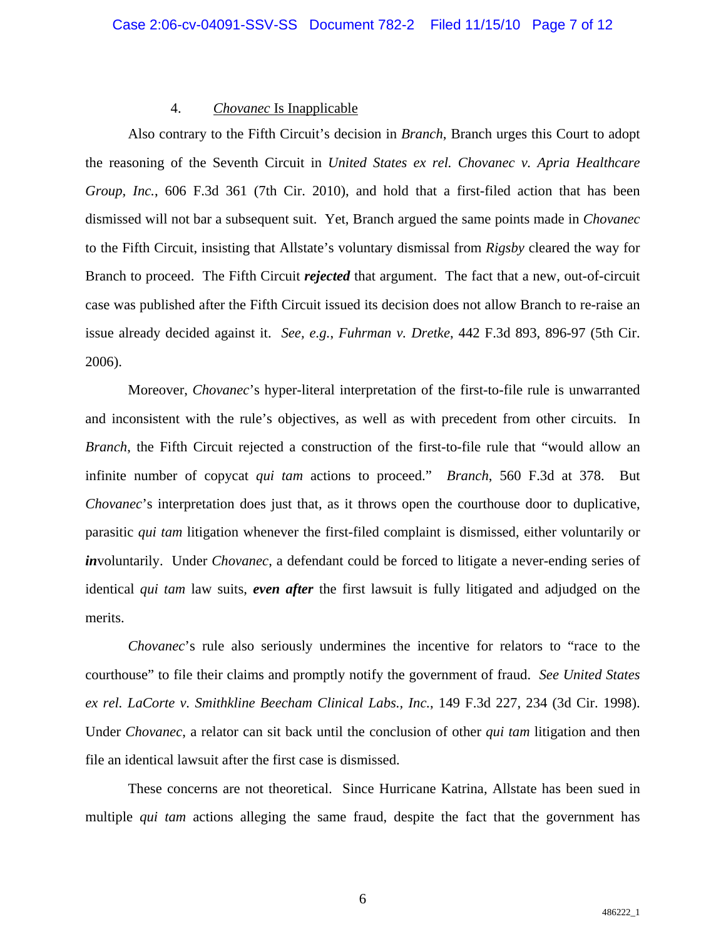#### 4. *Chovanec* Is Inapplicable

Also contrary to the Fifth Circuit's decision in *Branch*, Branch urges this Court to adopt the reasoning of the Seventh Circuit in *United States ex rel. Chovanec v. Apria Healthcare Group, Inc.*, 606 F.3d 361 (7th Cir. 2010), and hold that a first-filed action that has been dismissed will not bar a subsequent suit. Yet, Branch argued the same points made in *Chovanec* to the Fifth Circuit, insisting that Allstate's voluntary dismissal from *Rigsby* cleared the way for Branch to proceed. The Fifth Circuit *rejected* that argument. The fact that a new, out-of-circuit case was published after the Fifth Circuit issued its decision does not allow Branch to re-raise an issue already decided against it. *See, e.g.*, *Fuhrman v. Dretke*, 442 F.3d 893, 896-97 (5th Cir. 2006).

Moreover, *Chovanec*'s hyper-literal interpretation of the first-to-file rule is unwarranted and inconsistent with the rule's objectives, as well as with precedent from other circuits. In *Branch*, the Fifth Circuit rejected a construction of the first-to-file rule that "would allow an infinite number of copycat *qui tam* actions to proceed." *Branch*, 560 F.3d at 378. But *Chovanec*'s interpretation does just that, as it throws open the courthouse door to duplicative, parasitic *qui tam* litigation whenever the first-filed complaint is dismissed, either voluntarily or *in*voluntarily. Under *Chovanec*, a defendant could be forced to litigate a never-ending series of identical *qui tam* law suits, *even after* the first lawsuit is fully litigated and adjudged on the merits.

*Chovanec*'s rule also seriously undermines the incentive for relators to "race to the courthouse" to file their claims and promptly notify the government of fraud. *See United States ex rel. LaCorte v. Smithkline Beecham Clinical Labs., Inc.*, 149 F.3d 227, 234 (3d Cir. 1998). Under *Chovanec*, a relator can sit back until the conclusion of other *qui tam* litigation and then file an identical lawsuit after the first case is dismissed.

These concerns are not theoretical. Since Hurricane Katrina, Allstate has been sued in multiple *qui tam* actions alleging the same fraud, despite the fact that the government has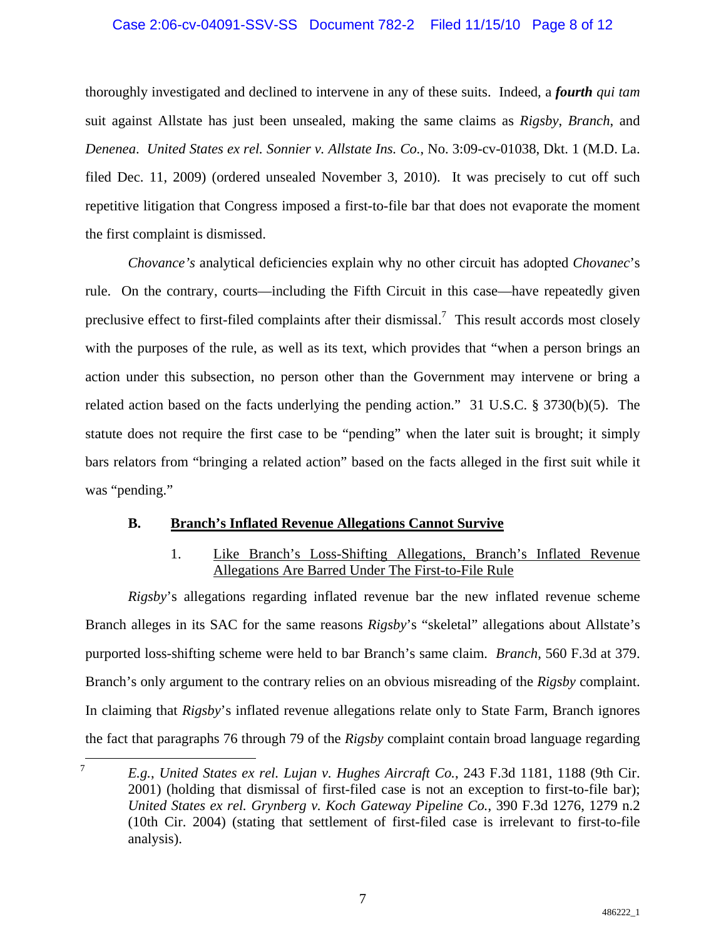## Case 2:06-cv-04091-SSV-SS Document 782-2 Filed 11/15/10 Page 8 of 12

thoroughly investigated and declined to intervene in any of these suits. Indeed, a *fourth qui tam* suit against Allstate has just been unsealed, making the same claims as *Rigsby*, *Branch*, and *Denenea*. *United States ex rel. Sonnier v. Allstate Ins. Co.*, No. 3:09-cv-01038, Dkt. 1 (M.D. La. filed Dec. 11, 2009) (ordered unsealed November 3, 2010). It was precisely to cut off such repetitive litigation that Congress imposed a first-to-file bar that does not evaporate the moment the first complaint is dismissed.

*Chovance's* analytical deficiencies explain why no other circuit has adopted *Chovanec*'s rule. On the contrary, courts—including the Fifth Circuit in this case—have repeatedly given preclusive effect to first-filed complaints after their dismissal.<sup>7</sup> This result accords most closely with the purposes of the rule, as well as its text, which provides that "when a person brings an action under this subsection, no person other than the Government may intervene or bring a related action based on the facts underlying the pending action." 31 U.S.C. § 3730(b)(5). The statute does not require the first case to be "pending" when the later suit is brought; it simply bars relators from "bringing a related action" based on the facts alleged in the first suit while it was "pending."

## **B. Branch's Inflated Revenue Allegations Cannot Survive**

## 1. Like Branch's Loss-Shifting Allegations, Branch's Inflated Revenue Allegations Are Barred Under The First-to-File Rule

*Rigsby*'s allegations regarding inflated revenue bar the new inflated revenue scheme Branch alleges in its SAC for the same reasons *Rigsby*'s "skeletal" allegations about Allstate's purported loss-shifting scheme were held to bar Branch's same claim. *Branch*, 560 F.3d at 379. Branch's only argument to the contrary relies on an obvious misreading of the *Rigsby* complaint. In claiming that *Rigsby*'s inflated revenue allegations relate only to State Farm, Branch ignores the fact that paragraphs 76 through 79 of the *Rigsby* complaint contain broad language regarding

 $\frac{1}{7}$  *E.g.*, *United States ex rel. Lujan v. Hughes Aircraft Co.*, 243 F.3d 1181, 1188 (9th Cir. 2001) (holding that dismissal of first-filed case is not an exception to first-to-file bar); *United States ex rel. Grynberg v. Koch Gateway Pipeline Co.*, 390 F.3d 1276, 1279 n.2 (10th Cir. 2004) (stating that settlement of first-filed case is irrelevant to first-to-file analysis).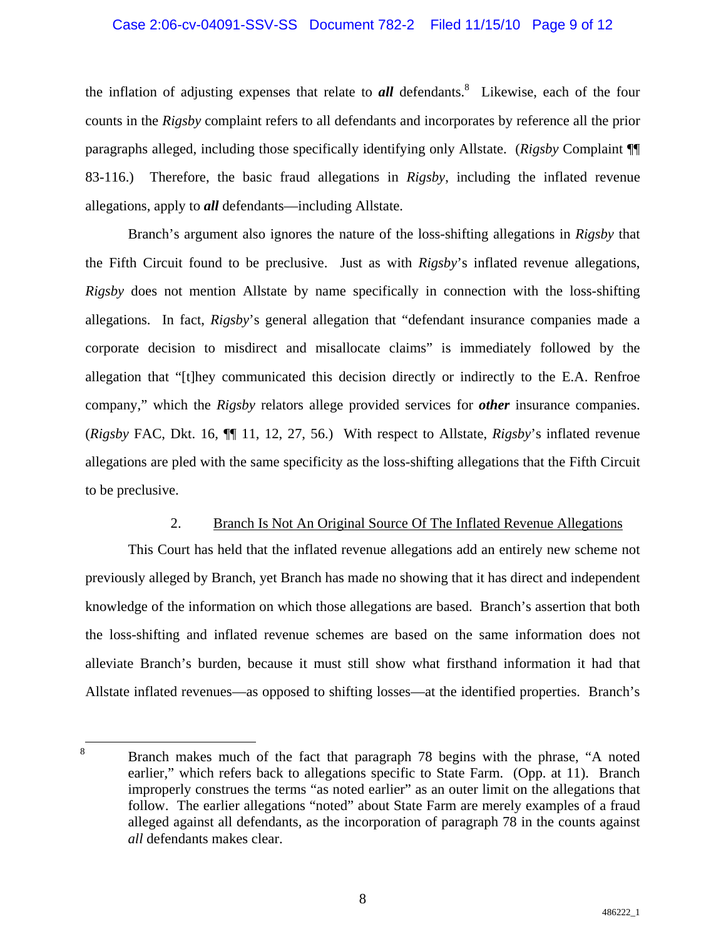#### Case 2:06-cv-04091-SSV-SS Document 782-2 Filed 11/15/10 Page 9 of 12

the inflation of adjusting expenses that relate to **all** defendants.<sup>8</sup> Likewise, each of the four counts in the *Rigsby* complaint refers to all defendants and incorporates by reference all the prior paragraphs alleged, including those specifically identifying only Allstate. (*Rigsby* Complaint ¶¶ 83-116.) Therefore, the basic fraud allegations in *Rigsby*, including the inflated revenue allegations, apply to *all* defendants—including Allstate.

Branch's argument also ignores the nature of the loss-shifting allegations in *Rigsby* that the Fifth Circuit found to be preclusive. Just as with *Rigsby*'s inflated revenue allegations, *Rigsby* does not mention Allstate by name specifically in connection with the loss-shifting allegations. In fact, *Rigsby*'s general allegation that "defendant insurance companies made a corporate decision to misdirect and misallocate claims" is immediately followed by the allegation that "[t]hey communicated this decision directly or indirectly to the E.A. Renfroe company," which the *Rigsby* relators allege provided services for *other* insurance companies. (*Rigsby* FAC, Dkt. 16, ¶¶ 11, 12, 27, 56.) With respect to Allstate, *Rigsby*'s inflated revenue allegations are pled with the same specificity as the loss-shifting allegations that the Fifth Circuit to be preclusive.

#### 2. Branch Is Not An Original Source Of The Inflated Revenue Allegations

This Court has held that the inflated revenue allegations add an entirely new scheme not previously alleged by Branch, yet Branch has made no showing that it has direct and independent knowledge of the information on which those allegations are based. Branch's assertion that both the loss-shifting and inflated revenue schemes are based on the same information does not alleviate Branch's burden, because it must still show what firsthand information it had that Allstate inflated revenues—as opposed to shifting losses—at the identified properties. Branch's

<sup>&</sup>lt;u>.</u> 8 Branch makes much of the fact that paragraph 78 begins with the phrase, "A noted earlier," which refers back to allegations specific to State Farm. (Opp. at 11). Branch improperly construes the terms "as noted earlier" as an outer limit on the allegations that follow. The earlier allegations "noted" about State Farm are merely examples of a fraud alleged against all defendants, as the incorporation of paragraph 78 in the counts against *all* defendants makes clear.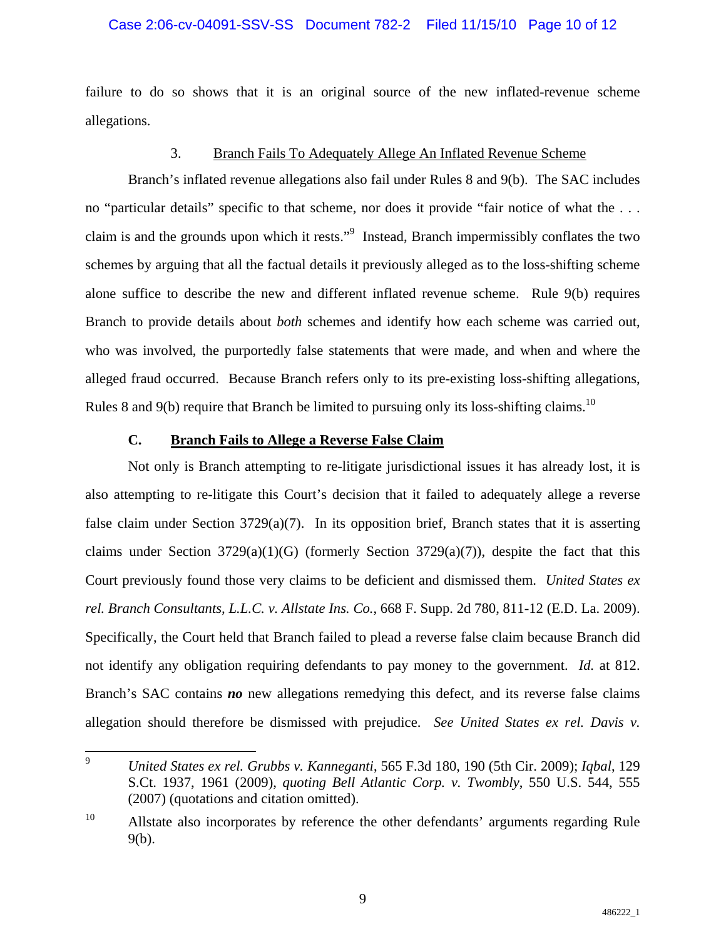## Case 2:06-cv-04091-SSV-SS Document 782-2 Filed 11/15/10 Page 10 of 12

failure to do so shows that it is an original source of the new inflated-revenue scheme allegations.

#### 3. Branch Fails To Adequately Allege An Inflated Revenue Scheme

Branch's inflated revenue allegations also fail under Rules 8 and 9(b). The SAC includes no "particular details" specific to that scheme, nor does it provide "fair notice of what the . . . claim is and the grounds upon which it rests."<sup>9</sup> Instead, Branch impermissibly conflates the two schemes by arguing that all the factual details it previously alleged as to the loss-shifting scheme alone suffice to describe the new and different inflated revenue scheme. Rule 9(b) requires Branch to provide details about *both* schemes and identify how each scheme was carried out, who was involved, the purportedly false statements that were made, and when and where the alleged fraud occurred. Because Branch refers only to its pre-existing loss-shifting allegations, Rules 8 and 9(b) require that Branch be limited to pursuing only its loss-shifting claims.<sup>10</sup>

## **C. Branch Fails to Allege a Reverse False Claim**

Not only is Branch attempting to re-litigate jurisdictional issues it has already lost, it is also attempting to re-litigate this Court's decision that it failed to adequately allege a reverse false claim under Section 3729(a)(7). In its opposition brief, Branch states that it is asserting claims under Section  $3729(a)(1)(G)$  (formerly Section  $3729(a)(7)$ ), despite the fact that this Court previously found those very claims to be deficient and dismissed them. *United States ex rel. Branch Consultants, L.L.C. v. Allstate Ins. Co.*, 668 F. Supp. 2d 780, 811-12 (E.D. La. 2009). Specifically, the Court held that Branch failed to plead a reverse false claim because Branch did not identify any obligation requiring defendants to pay money to the government. *Id.* at 812. Branch's SAC contains *no* new allegations remedying this defect, and its reverse false claims allegation should therefore be dismissed with prejudice. *See United States ex rel. Davis v.* 

<sup>-&</sup>lt;br>9 *United States ex rel. Grubbs v. Kanneganti*, 565 F.3d 180, 190 (5th Cir. 2009); *Iqbal*, 129 S.Ct. 1937, 1961 (2009), *quoting Bell Atlantic Corp. v. Twombly*, 550 U.S. 544, 555 (2007) (quotations and citation omitted).

<sup>&</sup>lt;sup>10</sup> Allstate also incorporates by reference the other defendants' arguments regarding Rule 9(b).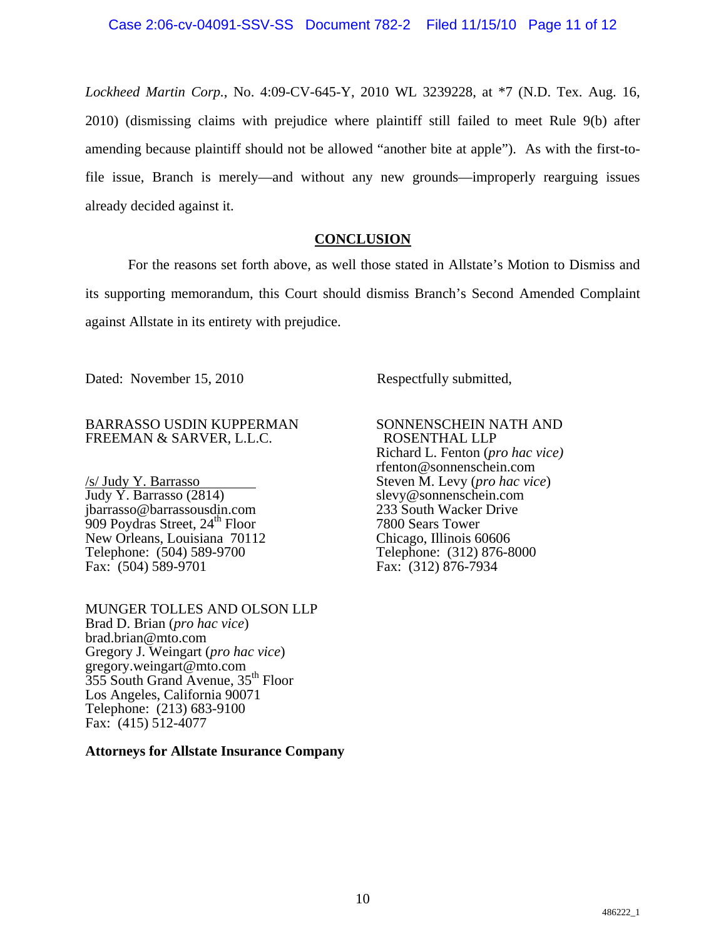*Lockheed Martin Corp.*, No. 4:09-CV-645-Y, 2010 WL 3239228, at \*7 (N.D. Tex. Aug. 16, 2010) (dismissing claims with prejudice where plaintiff still failed to meet Rule 9(b) after amending because plaintiff should not be allowed "another bite at apple"). As with the first-tofile issue, Branch is merely—and without any new grounds—improperly rearguing issues already decided against it.

# **CONCLUSION**

For the reasons set forth above, as well those stated in Allstate's Motion to Dismiss and its supporting memorandum, this Court should dismiss Branch's Second Amended Complaint against Allstate in its entirety with prejudice.

Dated: November 15, 2010 Respectfully submitted,

## BARRASSO USDIN KUPPERMAN FREEMAN & SARVER, L.L.C.

/s/ Judy Y. Barrasso Judy Y. Barrasso (2814) jbarrasso@barrassousdin.com  $909$  Poydras Street,  $24<sup>th</sup>$  Floor New Orleans, Louisiana 70112 Telephone: (504) 589-9700 Fax: (504) 589-9701

MUNGER TOLLES AND OLSON LLP Brad D. Brian (*pro hac vice*) brad.brian@mto.com Gregory J. Weingart (*pro hac vice*) gregory.weingart@mto.com 355 South Grand Avenue, 35th Floor Los Angeles, California 90071 Telephone: (213) 683-9100 Fax: (415) 512-4077

**Attorneys for Allstate Insurance Company**

SONNENSCHEIN NATH AND ROSENTHAL LLP Richard L. Fenton (*pro hac vice)*  rfenton@sonnenschein.com Steven M. Levy (*pro hac vice*) slevy@sonnenschein.com 233 South Wacker Drive 7800 Sears Tower Chicago, Illinois 60606 Telephone: (312) 876-8000 Fax: (312) 876-7934